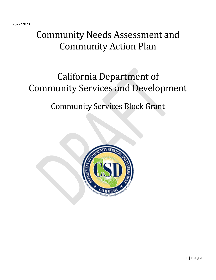2022/2023

# Community Needs Assessment and Community Action Plan

# California Department of Community Services and Development

# Community Services Block Grant

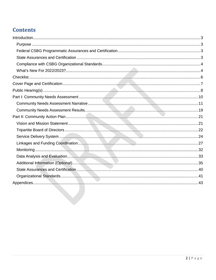# **Contents**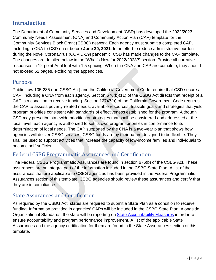# <span id="page-2-0"></span>**Introduction**

The Department of Community Services and Development (CSD) has developed the 2022/2023 Community Needs Assessment (CNA) and Community Action Plan (CAP) template for the Community Services Block Grant (CSBG) network. Each agency must submit a completed CAP, including a CNA to CSD on or before **June 30, 2021**. In an effort to reduce administrative burden during the Novel Coronavirus (COVID-19) pandemic, CSD has made changes to the CAP template. The changes are detailed below in the "What's New for 2022/2023?" section. Provide all narrative responses in 12-point Arial font with 1.5 spacing. When the CNA and CAP are complete, they should not exceed 52 pages, excluding the appendices.

# <span id="page-2-1"></span>Purpose

Public Law 105-285 (the CSBG Act) and the California Government Code require that CSD secure a CAP, including a CNA from each agency. Section 676(b)(11) of the CSBG Act directs that receipt of a CAP is a condition to receive funding. Section 12747(a) of the California Government Code requires the CAP to assess poverty-related needs, available resources, feasible goals and strategies that yield program priorities consistent with standards of effectiveness established for the program. Although CSD may prescribe statewide priorities or strategies that shall be considered and addressed at the local level, each agency is authorized to set its own program priorities in conformance to its determination of local needs. The CAP supported by the CNA is a two-year plan that shows how agencies will deliver CSBG services. CSBG funds are by their nature designed to be flexible. They shall be used to support activities that increase the capacity of low-income families and individuals to become self-sufficient.

# <span id="page-2-2"></span>Federal CSBG Programmatic Assurances and Certification

The Federal CSBG Programmatic Assurances are found in section 676(b) of the CSBG Act. These assurances are an integral part of the information included in the CSBG State Plan. A list of the assurances that are applicable to CSBG agencies has been provided in the Federal Programmatic Assurances section of this template. CSBG agencies should review these assurances and certify that they are in compliance.

# <span id="page-2-3"></span>State Assurances and Certification

As required by the CSBG Act, states are required to submit a State Plan as a condition to receive funding. Information provided in agencies' CAPs will be included in the CSBG State Plan. Alongside Organizational Standards, the state will be reporting on [State Accountability Measures](https://www.acf.hhs.gov/sites/default/files/ocs/appx_2_csbg_state_accountability_measures_10022015.pdf) in order to ensure accountability and program performance improvement. A list of the applicable State Assurances and the agency certification for them are found in the State Assurances section of this template.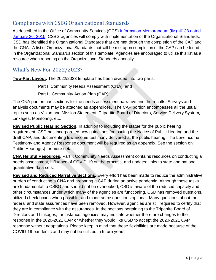# <span id="page-3-0"></span>Compliance with CSBG Organizational Standards

As described in the Office of Community Services (OCS) Information Memorandum (IM) #138 dated [January 26, 2015,](http://www.acf.hhs.gov/ocs/resource/csbg-im-138-state-establishment-of-organizational-standards-for-csbg-eligible-entities) CSBG agencies will comply with implementation of the Organizational Standards. CSD has identified the Organizational Standards that are met through the completion of the CAP and the CNA. A list of Organizational Standards that will be met upon completion of the CAP can be found in the Organizational Standards section of this template. Agencies are encouraged to utilize this list as a resource when reporting on the Organizational Standards annually.

# <span id="page-3-1"></span>What's New For 2022/2023?

**Two-Part Layout.** The 2022/2023 template has been divided into two parts:

Part I: Community Needs Assessment (CNA); and

Part II: Community Action Plan (CAP).

The CNA portion has sections for the needs assessment narrative and the results. Surveys and analysis documents may be attached as appendices. The CAP portion encompasses all the usual topics such as Vision and Mission Statement, Tripartite Board of Directors, Service Delivery System, Linkages, Monitoring, etc.

**Revised Public Hearing Section.** In addition to including the statue for the public hearing requirement, CSD has incorporated new guidelines for issuing the Notice of Public Hearing and the draft CAP, and documenting low-income testimony delivered at the public hearing. The Low-Income Testimony and Agency Response document will be required as an appendix. See the section on Public Hearing(s) for more details.

**CNA Helpful Resources.** Part I: Community Needs Assessment contains resources on conducting a needs assessment, influence of COVID-19 on the process, and updated links to state and national quantitative data sets.

**Revised and Reduced Narrative Sections.** Every effort has been made to reduce the administrative burden of conducting a CNA and preparing a CAP during an active pandemic. Although these tasks are fundamental to CSBG and should not be overlooked, CSD is aware of the reduced capacity and other circumstances under which many of the agencies are functioning. CSD has removed questions, utilized check boxes when possible, and made some questions optional. Many questions about the federal and state assurances have been removed. However, agencies are still required to certify that they are in compliance with the assurances. In the sections pertaining to the Tripartite Board of Directors and Linkages, for instance, agencies may indicate whether there are changes to the response in the 2020-2021 CAP or whether they would like CSD to accept the 2020-2021 CAP response without adaptations. Please keep in mind that these flexibilities are made because of the COVID-19 pandemic and may not be utilized in future years.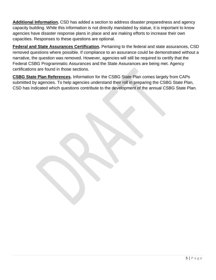**Additional Information.** CSD has added a section to address disaster preparedness and agency capacity building. While this information is not directly mandated by statue, it is important to know agencies have disaster response plans in place and are making efforts to increase their own capacities. Responses to these questions are optional.

**Federal and State Assurances Certification.** Pertaining to the federal and state assurances, CSD removed questions where possible. If compliance to an assurance could be demonstrated without a narrative, the question was removed. However, agencies will still be required to certify that the Federal CSBG Programmatic Assurances and the State Assurances are being met. Agency certifications are found in those sections.

**CSBG State Plan References.** Information for the CSBG State Plan comes largely from CAPs submitted by agencies. To help agencies understand their roll in preparing the CSBG State Plan, CSD has indicated which questions contribute to the development of the annual CSBG State Plan.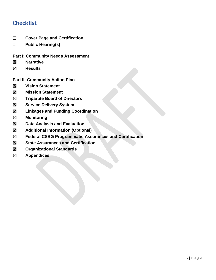# <span id="page-5-0"></span>**Checklist**

- ☐ **Cover Page and Certification**
- ☐ **Public Hearing(s)**

### **Part I: Community Needs Assessment**

- ☒ **Narrative**
- ☒ **Results**

**Part II: Community Action Plan**

- ☒ **Vision Statement**
- ☒ **Mission Statement**
- ☒ **Tripartite Board of Directors**
- ☒ **Service Delivery System**
- ☒ **Linkages and Funding Coordination**
- ☒ **Monitoring**
- ☒ **Data Analysis and Evaluation**
- ☒ **Additional Information (Optional)**
- ☒ **Federal CSBG Programmatic Assurances and Certification**
- ☒ **State Assurances and Certification**
- ☒ **Organizational Standards**
- ☒ **Appendices**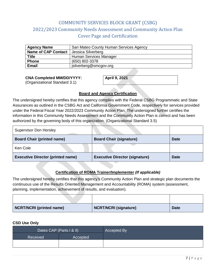# COMMUNITY SERVICES BLOCK GRANT (CSBG) 2022/2023 Community Needs Assessment and Community Action Plan Cover Page and Certification

<span id="page-6-0"></span>

| <b>Agency Name</b>         | San Mateo County Human Services Agency |
|----------------------------|----------------------------------------|
| <b>Name of CAP Contact</b> | Jessica Silverberg                     |
| <b>Title</b>               | Human Services Manager                 |
| <b>Phone</b>               | (650) 802-3378                         |
| <b>Email</b>               | jsilverberg@smcgov.org                 |

#### **CNA Completed MM/DD/YYYY:**

(Organizational Standard 3.1)

**April 9, 2021**

#### **Board and Agency Certification**

The undersigned hereby certifies that this agency complies with the Federal CSBG Programmatic and State Assurances as outlined in the CSBG Act and California Government Code, respectively for services provided under the Federal Fiscal Year 2022/2023 Community Action Plan. The undersigned further certifies the information in this Community Needs Assessment and the Community Action Plan is correct and has been authorized by the governing body of this organization. (Organizational Standard 3.5)

| <b>Supervisor Don Horsley</b>            |                                       |             |
|------------------------------------------|---------------------------------------|-------------|
| <b>Board Chair (printed name)</b>        | <b>Board Chair (signature)</b>        | <b>Date</b> |
| Ken Cole                                 |                                       |             |
| <b>Executive Director (printed name)</b> | <b>Executive Director (signature)</b> | <b>Date</b> |

#### **Certification of ROMA Trainer/Implementer** *(If applicable)*

The undersigned hereby certifies that this agency's Community Action Plan and strategic plan documents the continuous use of the Results Oriented Management and Accountability (ROMA) system (assessment, planning, implementation, achievement of results, and evaluation).

| <b>NCRT/NCRI</b> (printed name) | NCRT/NCRI (signature) | <b>Date</b> |
|---------------------------------|-----------------------|-------------|

#### **CSD Use Only**

|          | Accepted By              |  |
|----------|--------------------------|--|
| Accepted |                          |  |
|          |                          |  |
|          | Dates CAP (Parts I & II) |  |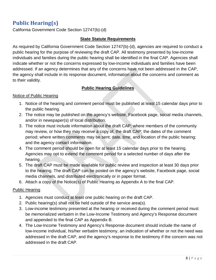# <span id="page-7-0"></span>**Public Hearing(s)**

California Government Code Section 12747(b)-(d)

### **State Statute Requirements**

As required by California Government Code Section 12747(b)-(d), agencies are required to conduct a public hearing for the purpose of reviewing the draft CAP. All testimony presented by low-income individuals and families during the public hearing shall be identified in the final CAP. Agencies shall indicate whether or not the concerns expressed by low-income individuals and families have been addressed. If an agency determines that any of the concerns have not been addressed in the CAP, the agency shall include in its response document, information about the concerns and comment as to their validity.

### **Public Hearing Guidelines**

#### Notice of Public Hearing

- 1. Notice of the hearing and comment period must be published at least 15 calendar days prior to the public hearing.
- 2. The notice may be published on the agency's website, Facebook page, social media channels, and/or in newspaper(s) of local distribution.
- 3. The notice must include information about the draft CAP; where members of the community may review, or how they may receive a copy of, the draft CAP; the dates of the comment period; where written comments may be sent; date, time, and location of the public hearing; and the agency contact information.
- 4. The comment period should be open for at least 15 calendar days prior to the hearing. Agencies may opt to extend the comment period for a selected number of days after the hearing.
- 5. The draft CAP must be made available for public review and inspection at least 30 days prior to the hearing. The draft CAP can be posted on the agency's website, Facebook page, social media channels, and distributed electronically or in paper format.
- 6. Attach a copy of the Notice(s) of Public Hearing as Appendix A to the final CAP.

### Public Hearing

- 1. Agencies must conduct at least one public hearing on the draft CAP.
- 2. Public hearing(s) shall not be held outside of the service area(s).
- 3. Low-income testimony presented at the hearing or received during the comment period must be memorialized verbatim in the Low-Income Testimony and Agency's Response document and appended to the final CAP as Appendix B.
- 4. The Low-Income Testimony and Agency's Response document should include the name of low-income individual, his/her verbatim testimony, an indication of whether or not the need was addressed in the draft CAP, and the agency's response to the testimony if the concern was not addressed in the draft CAP.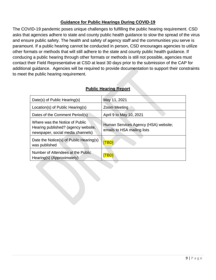# **Guidance for Public Hearings During COVID-19**

The COVID-19 pandemic poses unique challenges to fulfilling the public hearing requirement. CSD asks that agencies adhere to state and county public health guidance to slow the spread of the virus and ensure public safety. The health and safety of agency staff and the communities you serve is paramount. If a public hearing cannot be conducted in person, CSD encourages agencies to utilize other formats or methods that will still adhere to the state and county public health guidance. If conducing a public hearing through other formats or methods is still not possible, agencies must contact their Field Representative at CSD at least 30 days prior to the submission of the CAP for additional guidance. Agencies will be required to provide documentation to support their constraints to meet the public hearing requirement.

| <b>Public Hearing Report</b> |  |
|------------------------------|--|
|                              |  |

| Date(s) of Public Hearing(s)                                                                               | May 11, 2021                                                        |
|------------------------------------------------------------------------------------------------------------|---------------------------------------------------------------------|
| Location(s) of Public Hearing(s)                                                                           | Zoom Meeting                                                        |
| Dates of the Comment Period(s)                                                                             | April 9 to May 10, 2021                                             |
| Where was the Notice of Public<br>Hearing published? (agency website,<br>newspaper, social media channels) | Human Services Agency (HSA) website;<br>emails to HSA mailing lists |
| Date the Notice(s) of Public Hearing(s)<br>was published                                                   | <b>[TBD</b>                                                         |
| Number of Attendees at the Public<br>Hearing(s) (Approximately)                                            | <u>TBDJ</u>                                                         |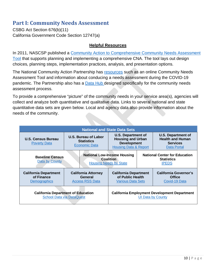# <span id="page-9-0"></span>**Part I: Community Needs Assessment**

CSBG Act Section 676(b)(11) California Government Code Section 12747(a)

### **Helpful Resources**

In 2011, NASCSP published a [Community Action to Comprehensive Community Needs Assessment](https://www.communitycommons.org/entities/d0c6dfbc-db34-48dc-a32b-ff45da48ccb3)  [Tool](https://www.communitycommons.org/entities/d0c6dfbc-db34-48dc-a32b-ff45da48ccb3) that supports planning and implementing a comprehensive CNA. The tool lays out design choices, planning steps, implementation practices, analysis, and presentation options.

The National Community Action Partnership has [resources](https://communityactionpartnership.com/?s=Community+Needs+Assessment+Tool) such as an online Community Needs Assessment Tool and information about conducing a needs assessment during the COVID-19 pandemic. The Partnership also has a **Data Hub designed specifically for the community needs** assessment process.

To provide a comprehensive "picture" of the community needs in your service area(s), agencies will collect and analyze both quantitative and qualitative data. Links to several national and state quantitative data sets are given below. Local and agency data also provide information about the needs of the community.

|                                                            |                                                                               | <b>National and State Data Sets</b>                                                                                                        |  |                                                                                 |
|------------------------------------------------------------|-------------------------------------------------------------------------------|--------------------------------------------------------------------------------------------------------------------------------------------|--|---------------------------------------------------------------------------------|
| U.S. Census Bureau<br><b>Poverty Data</b>                  | <b>U.S. Bureau of Labor</b><br><b>Statistics</b><br><b>Economic Data</b>      | U.S. Department of<br><b>Housing and Urban</b><br><b>Development</b><br><b>Services</b><br><b>Housing Data &amp; Report</b><br>Data Portal |  | U.S. Department of<br><b>Health and Human</b>                                   |
| <b>Baseline Census</b><br>Data by County                   |                                                                               | <b>National Low-Income Housing</b><br><b>Coalition</b><br><b>Statistics</b><br><b>Housing Needs by State</b><br><b>IPEDS</b>               |  | <b>National Center for Education</b>                                            |
| <b>California Department</b><br>of Finance<br>Demographics | <b>California Attorney</b><br>General<br><b>Access RSS Data</b>               | <b>California Department</b><br>of Public Health<br><b>Office</b><br><b>Various Data Sets</b>                                              |  | <b>California Governor's</b><br>Covid-19 Data                                   |
|                                                            | <b>California Department of Education</b><br><b>School Data via DataQuest</b> |                                                                                                                                            |  | <b>California Employment Development Department</b><br><b>UI Data by County</b> |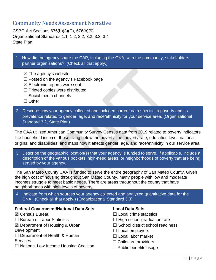# <span id="page-10-0"></span>Community Needs Assessment Narrative

CSBG Act Sections 676(b)(3)(C), 676(b)(9) Organizational Standards 1.1, 1.2, 2.2, 3.2, 3.3, 3.4 State Plan

| 1. How did the agency share the CAP, including the CNA, with the community, stakeholders,<br>partner organizations? (Check all that apply.)                                                                                                                                                                                   |                                                                                                                                                                                                   |  |
|-------------------------------------------------------------------------------------------------------------------------------------------------------------------------------------------------------------------------------------------------------------------------------------------------------------------------------|---------------------------------------------------------------------------------------------------------------------------------------------------------------------------------------------------|--|
| $\boxtimes$ The agency's website<br>$\Box$ Posted on the agency's Facebook page<br>$\boxtimes$ Electronic reports were sent<br>$\Box$ Printed copies were distributed<br>$\Box$ Social media channels<br>$\Box$ Other                                                                                                         |                                                                                                                                                                                                   |  |
| 2. Describe how your agency collected and included current data specific to poverty and its<br>prevalence related to gender, age, and race/ethnicity for your service area. (Organizational<br>Standard 3.2, State Plan)                                                                                                      |                                                                                                                                                                                                   |  |
| The CAA utilized American Community Survey Census data from 2019 related to poverty indicators<br>like household income, those living below the poverty line, poverty rate, education level, national<br>origins, and disabilities; and maps how it affects gender, age, and race/ethnicity in our service area.              |                                                                                                                                                                                                   |  |
| 3. Describe the geographic location(s) that your agency is funded to serve. If applicable, include a<br>description of the various pockets, high-need areas, or neighborhoods of poverty that are being<br>served by your agency.                                                                                             |                                                                                                                                                                                                   |  |
| The San Mateo County CAA is funded to serve the entire geography of San Mateo County. Given<br>the high cost of housing throughout San Mateo County, many people with low and moderate<br>incomes struggle to meet basic needs. There are areas throughout the county that have<br>neighborhoods with high levels of poverty. |                                                                                                                                                                                                   |  |
| 4. Indicate from which sources your agency collected and analyzed quantitative data for the<br>CNA. (Check all that apply.) (Organizational Standard 3.3)                                                                                                                                                                     |                                                                                                                                                                                                   |  |
| <b>Federal Government/National Data Sets</b><br>⊠ Census Bureau<br><b>Bureau of Labor Statistics</b><br>$\boxtimes$ Department of Housing & Urban<br>Development<br>Department of Health & Human<br><b>Services</b>                                                                                                           | <b>Local Data Sets</b><br>Local crime statistics<br>High school graduation rate<br>School district school readiness<br>$\Box$ Local employers<br>Local labor market<br>$\Box$ Childcare providers |  |
| $\Box$ National Low-Income Housing Coalition                                                                                                                                                                                                                                                                                  | $\Box$ Public benefits usage                                                                                                                                                                      |  |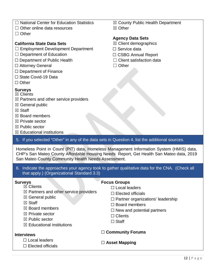- □ National Center for Education Statistics
- □ Other online data resources
- ☐ Other

### **California State Data Sets**

- ☐ Employment Development Department
- $\Box$  Department of Education
- □ Department of Public Health
- □ Attorney General
- $\Box$  Department of Finance
- □ State Covid-19 Data
- ☐ Other

### **Surveys**

- $\boxtimes$  Clients
- $\boxtimes$  Partners and other service providers
- ☒ General public
- **⊠** Staff
- $<sup>8</sup>$  Board members</sup>
- ☒ Private sector
- ☒ Public sector
- $<sup>2</sup>$  Educational institutions</sup>

### 5. If you selected "Other" in any of the data sets in Question 4, list the additional sources.

Homeless Point in Count (PIT) data, Homeless Management Information System (HMIS) data, CHP's San Mateo County Affordable Housing Needs Report, Get Health San Mateo data, 2019 San Mateo County Community Health Needs Assessment.

#### 6. Indicate the approaches your agency took to gather qualitative data for the CNA. (Check all that apply.) (Organizational Standard 3.3)

### **Surveys**

☒ Clients

#### $\boxtimes$  Partners and other service providers

- $\boxtimes$  General public
- ☒ Staff
- $<sup>8</sup>$  Board members</sup>
- ☒ Private sector
- ☒ Public sector
- $<sup>8</sup>$  Educational institutions</sup>

#### **Interviews**

- □ Local leaders
- ☐ Elected officials

#### **Focus Groups**

- ☐ Local leaders
- $\Box$  Elected officials
- $\Box$  Partner organizations' leadership
- ☐ Board members
- $\Box$  New and potential partners
- ☐ Clients
- ☐ Staff

### ☐ **Community Forums**

☐ **Asset Mapping**

☒ County Public Health Department ☒ Other

### **Agency Data Sets**

- $\boxtimes$  Client demographics
- □ Service data
- ☐ CSBG Annual Report
- $\Box$  Client satisfaction data
- ☐ Other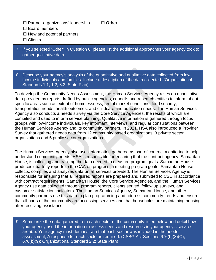#### ☐ **Other**

☐ Board members

 $\Box$  New and potential partners

□ Partner organizations' leadership

□ Clients

7. If you selected "Other" in Question 6, please list the additional approaches your agency took to gather qualitative data.

8. Describe your agency's analysis of the quantitative and qualitative data collected from lowincome individuals and families. Include a description of the data collected. (Organizational Standards 1.1, 1.2, 3.3; State Plan)

To develop the Community Needs Assessment, the Human Services Agency relies on quantitative data provided by reports drafted by public agencies, councils and research entities to inform about specific areas such as extent of homelessness, rental market conditions, food security, transportation needs, health outcomes, and childcare and education needs. The Human Services Agency also conducts a needs survey via the Core Service Agencies, the results of which are compiled and used to inform service planning. Qualitative information is gathered through focus groups with low-income individuals, key informant interviews, and regular consultations between the Human Services Agency and its community partners. In 2021, HSA also introduced a Provider Survey that gathered needs data from 12 community based organizations, 3 private sector organizations and 5 public sector organizations.

The Human Services Agency also uses information gathered as part of contract monitoring to help understand community needs. HSA is responsible for ensuring that the contract agency, Samaritan House, is collecting and tracking the data needed to measure program goals. Samaritan House produces quarterly reports to the CAA on progress in meeting program goals. Samaritan House collects, compiles and analyzes data on all services provided. The Human Services Agency is responsible for ensuring that all required reports are prepared and submitted to CSD in accordance with contract requirements. Samaritan House, the Core Service Agencies, and the Human Services Agency use data collected through program reports, clients served, follow up surveys, and customer satisfaction indicators. The Human Services Agency, Samaritan House, and other community partners use this data to plan programming and address community trends and ensure that all parts of the community are accessing services and that households are maintaining housing after receiving assistance.

9. Summarize the data gathered from each sector of the community listed below and detail how your agency used the information to assess needs and resources in your agency's service area(s). Your agency must demonstrate that each sector was included in the needs assessment; A response for each sector is required. (CSBG Act Sections 676(b)(3)(C), 676(b)(9); Organizational Standard 2.2; State Plan)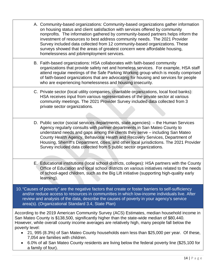- A. Community-based organizations: Community-based organizations gather information on housing status and client satisfaction with services offered by community nonprofits. The information gathered by community-based partners helps inform the investment of resources to best address community needs. The 2021 Provider Survey included data collected from 12 community-based organizations. These surveys showed that the areas of greatest concern were affordable housing, homelessness and job/employment services.
- B. Faith-based organizations: HSA collaborates with faith-based community organizations that provide safety net and homeless services. For example, HSA staff attend regular meetings of the Safe Parking Working group which is mostly comprised of faith-based organizations that are advocating for housing and services for people who are experiencing homelessness and housing insecurity.
- C. Private sector (local utility companies, charitable organizations, local food banks): HSA receives input from various representatives of the private sector at various community meetings. The 2021 Provider Survey included data collected from 3 private sector organizations.
- D. Public sector (social services departments, state agencies): the Human Services Agency regularly consults with partner departments in San Mateo County to understand needs and gaps among the clients they serve – including San Mateo County Health Agency, Behavioral Health and Recovery Services, Department of Housing, Sherriff's Department, cities, and other local jurisdictions. The 2021 Provider Survey included data collected from 5 public sector organizations.
- E. Educational institutions (local school districts, colleges): HSA partners with the County Office of Education and local school districts on various initiatives related to the needs of school-aged children, such as the Big Lift initiative (supporting high-quality early learning).
- 10."Causes of poverty" are the negative factors that create or foster barriers to self-sufficiency and/or reduce access to resources in communities in which low-income individuals live. After review and analysis of the data, describe the causes of poverty in your agency's service area(s). (Organizational Standard 3.4, State Plan)

According to the 2019 American Community Survey (ACS) Estimates, median household income in San Mateo County is \$138,500, significantly higher than the state-wide median of \$80,440. However, while overall county income averages are relatively high, many people fall below the poverty level:

- 21, 995 (8.3%) of San Mateo County households earn less than \$25,000 per year. Of these, 7,054 are families with children.
- 6.0% of all San Mateo County residents are living below the federal poverty line (\$25,100 for a family of four).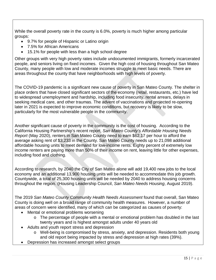While the overall poverty rate in the county is 6.0%, poverty is much higher among particular groups:

- 9.7% for people of Hispanic or Latino origin
- 7.5% for African Americans
- 15.1% for people with less than a high school degree

Other groups with very high poverty rates include undocumented immigrants, formerly incarcerated people, and seniors living on fixed incomes. Given the high cost of housing throughout San Mateo County, many people with low and moderate incomes struggle to meet basic needs. There are areas throughout the county that have neighborhoods with high levels of poverty.

The COVID-19 pandemic is a significant new cause of poverty in San Mateo County. The shelter in place orders that have closed significant sectors of the economy (retail, restaurants, etc.) have led to widespread unemployment and hardship, including food insecurity, rental arrears, delays in seeking medical care, and other traumas. The advent of vaccinations and projected re-opening later in 2021 is expected to improve economic conditions, but recovery is likely to be slow, particularly for the most vulnerable people in the community.

Another significant cause of poverty in the community is the cost of housing. According to the California Housing Partnership's recent report, *San Mateo County's Affordable Housing Needs Report* (May 2020), renters in San Mateo County need to earn \$62.17 per hour to afford the average asking rent of \$3,233 in the County. San Mateo County needs up to 21,098 additional affordable housing units to meet demand for low-income rents. Eighty percent of extremely low income renters are paying more than 50% of their income on rent, leaving little for other expenses, including food and clothing.

According to research, by 2040 the City of San Mateo alone will add 19,400 new jobs to the local economy and an additional 13,900 housing units will be needed to accommodate this job growth. Countywide, a total of 25,300 housing units will be needed by 2040 to address housing concerns throughout the region. (Housing Leadership Council, *San Mateo Needs Housing*, August 2019).

The 2019 *San Mateo County Community Health Needs Assessment* found that overall, San Mateo County is doing well on a broad range of community health measures. However, a number of areas of concern were identified, many of which can be categorized as causes of poverty:

- Mental or emotional problems worsening
	- o The percentage of people with a mental or emotional problem has doubled in the last twenty years and is highest amongst adults under 40 years old
- Adults and youth report stress and depression
	- o Well-being is compromised by stress, anxiety, and depression. Residents both young and old report being impacted by stress and depression at high rates (39%).
- Depression has increased amongst select groups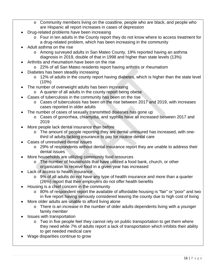- o Community members living on the coastline, people who are black, and people who are Hispanic all report increases in cases of depression
- Drug-related problems have been increasing
	- o Four in ten adults in the County report they do not know where to access treatment for a drug-related problem, which has been increasing in the community
- Adult asthma on the rise
	- o Among surveyed adults in San Mateo County, 19% reported having an asthma diagnosis in 2019, double of that in 1998 and higher than state levels (13%)
- Arthritis and rheumatism have been on the rise
	- o 22% of all San Mateo residents report having arthritis or rheumatism
- Diabetes has been steadily increasing
	- o 12% of adults in the county report having diabetes, which is higher than the state level (10%)
- The number of overweight adults has been increasing
	- o A quarter of all adults in the county report being obese
	- Cases of tuberculosis in the community has been on the rise
		- o Cases of tuberculosis has been on the rise between 2017 and 2019, with increases cases reported in older adults
- The number of cases of sexually transmitted diseases has gone up
	- o Cases of gonorrhea, chlamydia, and syphilis have all increased between 2017 and 2019
- More people lack dental insurance than before
	- o The amount of people reporting they are dental uninsured has increased, with onethird of adults lacking insurance to pay for routine dental care
- Cases of unresolved dental issues
	- o 29% of respondents without dental insurance report they are unable to address their dental issues
- More households are utilizing community food resources
	- o The number of households that have utilized a food bank, church, or other organization to receive food in a given year has increased
- Lack of access to health insurance
	- o 9% of all adults do not have any type of health insurance and more than a quarter (26%) report that their employers do not offer health benefits
- Housing is a chief concern in the community
	- o 80% of respondent report the available of affordable housing is "fair" or "poor" and two in five report having seriously considered leaving the county due to high cost of living
- More older adults are unable to afford living alone
	- o There is an increase in the number of older adults dependents living with a younger family member
- Issues with transportation
	- o Two in five people feel they cannot rely on public transportation to get them where they need while 7% of adults report a lack of transportation which inhibits their ability to get needed medical care
- Wage disparities continue to grow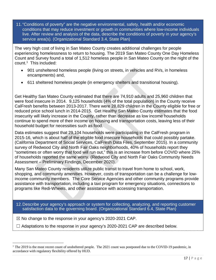11."Conditions of poverty" are the negative environmental, safety, health and/or economic conditions that may reduce investment or growth in communities where low-income individuals live. After review and analysis of the data, describe the conditions of poverty in your agency's service area(s). (Organizational Standard 3.4, State Plan)

The very high cost of living in San Mateo County creates additional challenges for people experiencing homelessness to return to housing. The 2019 San Mateo County One Day Homeless Count and Survey found a total of 1,512 homeless people in San Mateo County on the night of the count.[1](#page-16-0) This included:

- 901 unsheltered homeless people (living on streets, in vehicles and RVs, in homeless encampments) and,
- 611 sheltered homeless people (in emergency shelters and transitional housing).

Get Healthy San Mateo County estimated that there are 74,910 adults and 25,960 children that were food insecure in 2014. 9,125 households (4% of the total population) in the County receive CalFresh benefits between 2013-2017. There were 28,829 children in the County eligible for free or reduced price school lunch in 2014-2015. Get Healthy San Mateo County estimates that the food insecurity will likely increase in the County, rather than decrease as low income households continue to spend more of their income on housing and transportation costs, leaving less of their household budget for necessities such as food.

Data estimates suggest that 29,104 households were participating in the CalFresh program in 2015-16, which is about half of the eligible food insecure households that could possibly partake. (California Department of Social Services, CalFresh Data Files, September 2015). In a community survey of Redwood City and North Fair Oaks neighborhoods, 40% of households report they "sometimes or often worry that food will run out," this is an increase from before COVID where 25% of households reported the same worry. (Redwood City and North Fair Oaks Community Needs Assessment – Preliminary Findings, December 2020).

Many San Mateo County residents utilize public transit to travel from home to school, work, shopping, and community amenities. However, costs of transportation can be a challenge for lowincome community members. The Core Service Agencies and other community programs provide assistance with transportation, including a taxi program for emergency situations, connections to programs like Redi-Wheels, and other assistance with accessing transportation.

12.Describe your agency's approach or system for collecting, analyzing, and reporting customer satisfaction data to the governing board. (Organizational Standard 6.4, State Plan)

 $\boxtimes$  No change to the response in your agency's 2020-2021 CAP.

l

 $\Box$  Adaptations to the response in your agency's 2020-2021 CAP are described below.

<span id="page-16-0"></span> $1$  The 2019 is the most recent count of unsheltered people. The 2021 count was postponed due to the COVID-19 pandemic, in accordance with regulatory flexibility offered by HUD.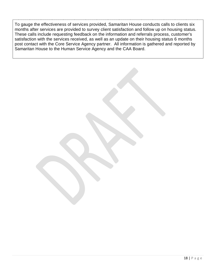To gauge the effectiveness of services provided, Samaritan House conducts calls to clients six months after services are provided to survey client satisfaction and follow up on housing status. These calls include requesting feedback on the information and referrals process, customer's satisfaction with the services received, as well as an update on their housing status 6 months post contact with the Core Service Agency partner. All information is gathered and reported by Samaritan House to the Human Service Agency and the CAA Board.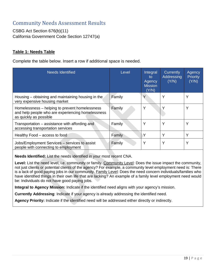# <span id="page-18-0"></span>Community Needs Assessment Results

CSBG Act Section 676(b)(11) California Government Code Section 12747(a)

### **Table 1: Needs Table**

Complete the table below. Insert a row if additional space is needed.

| Needs Identified                                                                                                              | Level  | Integral<br>to<br>Agency<br><b>Mission</b><br>(Y/N) | Currently<br>Addressing<br>(Y/N) | Agency<br><b>Priority</b><br>(Y/N) |
|-------------------------------------------------------------------------------------------------------------------------------|--------|-----------------------------------------------------|----------------------------------|------------------------------------|
| Housing – obtaining and maintaining housing in the<br>very expensive housing market                                           | Family | Y                                                   | Υ                                | Υ                                  |
| Homelessness – helping to prevent homelessness<br>and help people who are experiencing homelessness<br>as quickly as possible | Family | Y                                                   |                                  | Υ                                  |
| Transportation – assistance with affording and<br>accessing transportation services                                           | Family | Y                                                   | Υ                                | Υ                                  |
| Healthy Food – access to food                                                                                                 | Family |                                                     | Y                                | Y                                  |
| Jobs/Employment Services - services to assist<br>people with connecting to employment                                         | Family | Y                                                   | Υ                                | Y                                  |

**Needs Identified:** List the needs identified in your most recent CNA.

**Level:** List the need level, i.e. community or family. Community Level: Does the issue impact the community, not just clients or potential clients of the agency? For example, a community level employment need is: There is a lack of good paying jobs in our community. Family Level: Does the need concern individuals/families who have identified things in their own life that are lacking? An example of a family level employment need would be: Individuals do not have good paying jobs.

**Integral to Agency Mission:** Indicate if the identified need aligns with your agency's mission.

**Currently Addressing**: Indicate if your agency is already addressing the identified need.

**Agency Priority:** Indicate if the identified need will be addressed either directly or indirectly.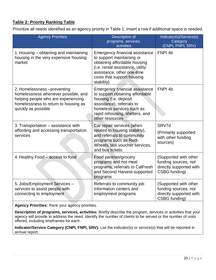# **Table 2: Priority Ranking Table**

Prioritize all needs identified as an agency priority in Table 1. Insert a row if additional space is needed.

| <b>Agency Priorities</b>                                                                                                                                                 | Description of<br>programs, services,<br>activities                                                                                                                                                              | Indicator(s)/Service(s)<br>Category<br>(CNPI, FNPI, SRV)                                  |
|--------------------------------------------------------------------------------------------------------------------------------------------------------------------------|------------------------------------------------------------------------------------------------------------------------------------------------------------------------------------------------------------------|-------------------------------------------------------------------------------------------|
| 1. Housing – obtaining and maintaining<br>housing in the very expensive housing<br>market                                                                                | <b>Emergency financial assistance</b><br>to support maintaining or<br>obtaining affordable housing<br>(i.e. rental assistance, utility<br>assistance, other one-time<br>costs that support housing<br>stability) | FNPI <sub>4b</sub>                                                                        |
| 2. Homelessness -preventing<br>homelessness whenever possible, and<br>helping people who are experiencing<br>homelessness to return to housing as<br>quickly as possible | Emergency financial assistance<br>to support obtaining affordable<br>housing (i.e. deposit<br>assistance), referrals to<br>homeless services such as<br>rapid rehousing, shelters, and<br>other resources        | FNPI <sub>4b</sub>                                                                        |
| 3. Transportation - assistance with<br>affording and accessing transportation<br>services                                                                                | Car repair services (when<br>related to housing stability),<br>and referrals to community<br>programs such as Redi-<br>Wheels, taxi voucher services,<br>and bus tickets                                         | SRV7d<br>(Primarily supported<br>with other funding<br>sources)                           |
| 4. Healthy Food – access to food                                                                                                                                         | Food pantries/grocery<br>programs and hot meal<br>programs, referrals to CalFresh<br>and Second Harvest-supported<br>programs                                                                                    | (Supported with other<br>funding sources, not<br>directly supported with<br>CSBG funding) |
| 5. Jobs/Employment Services -<br>services to assist people with<br>connecting to employment                                                                              | Referrals to community job<br>information centers and<br>employment programs                                                                                                                                     | (Supported with other<br>funding sources, not<br>directly supported with<br>CSBG funding) |

**Agency Priorities:** Rank your agency priorities.

**Description of programs, services, activities:** Briefly describe the program, services or activities that your agency will provide to address the need. Identify the number of clients to be served or the number of units offered, including timeframes for each.

**Indicator/Service Category (CNPI, FNPI, SRV):** List the indicator(s) or service(s) that will be reported in annual report.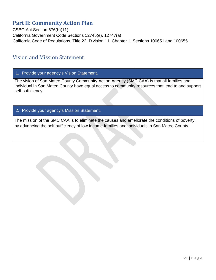# <span id="page-20-0"></span>**Part II: Community Action Plan**

CSBG Act Section 676(b)(11) California Government Code Sections 12745(e), 12747(a) California Code of Regulations, Title 22, Division 11, Chapter 1, Sections 100651 and 100655

# <span id="page-20-1"></span>Vision and Mission Statement

1. Provide your agency's Vision Statement.

The vision of San Mateo County Community Action Agency (SMC CAA) is that all families and individual in San Mateo County have equal access to community resources that lead to and support self-sufficiency.

### 2. Provide your agency's Mission Statement.

The mission of the SMC CAA is to eliminate the causes and ameliorate the conditions of poverty, by advancing the self-sufficiency of low-income families and individuals in San Mateo County.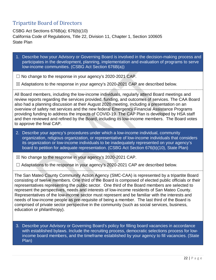# <span id="page-21-0"></span>Tripartite Board of Directors

CSBG Act Sections 676B(a); 676(b)(10) California Code of Regulations, Title 22, Division 11, Chapter 1, Section 100605 State Plan

1. Describe how your Advisory or Governing Board is involved in the decision-making process and participates in the development, planning, implementation and evaluation of programs to serve low-income communities. (CSBG Act Section 676B(a))

 $\Box$  No change to the response in your agency's 2020-2021 CAP.

 $\boxtimes$  Adaptations to the response in your agency's 2020-2021 CAP are described below.

All Board members, including the low-income individuals, regularly attend Board meetings and review reports regarding the services provided, funding, and outcomes of services. The CAA Board also had a planning discussion at their August 2020 meeting, including a presentation on an overview of safety net services and the new federal Emergency Financial Assistance Programs providing funding to address the impacts of COVID-19. The CAP Plan is developed by HSA staff and then reviewed and refined by the Board, including its low-income members. The Board votes to approve the final CAP.

2. Describe your agency's procedures under which a low-income individual, community organization, religious organization, or representative of low-income individuals that considers its organization or low-income individuals to be inadequately represented on your agency's board to petition for adequate representation. (CSBG Act Section 676(b)(10), State Plan)

☒ No change to the response in your agency's 2020-2021 CAP.

 $\Box$  Adaptations to the response in your agency's 2020-2021 CAP are described below.

The San Mateo County Community Action Agency (SMC-CAA) is represented by a tripartite Board consisting of twelve members. One third of the Board is composed of elected public officials or their representatives representing the public sector. One third of the Board members are selected to represent the perspectives, needs and interests of low-income residents of San Mateo County. Representatives of the low-income sector must represent and be familiar with the interests and needs of low-income people as pre-requisite of being a member. The last third of the Board is comprised of private sector perspective in the community (such as social services, business, education or philanthropy).

3. Describe your Advisory or Governing Board's policy for filling board vacancies in accordance with established bylaws. Include the recruiting process, democratic selections process for lowincome board members, and the timeframe established by your agency to fill vacancies. (State Plan)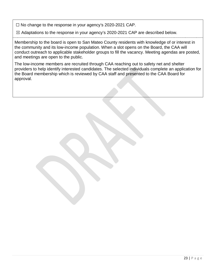☐ No change to the response in your agency's 2020-2021 CAP.

 $\boxtimes$  Adaptations to the response in your agency's 2020-2021 CAP are described below.

Membership to the board is open to San Mateo County residents with knowledge of or interest in the community and its low-income population. When a slot opens on the Board, the CAA will conduct outreach to applicable stakeholder groups to fill the vacancy. Meeting agendas are posted, and meetings are open to the public.

The low-income members are recruited through CAA reaching out to safety net and shelter providers to help identify interested candidates. The selected individuals complete an application for the Board membership which is reviewed by CAA staff and presented to the CAA Board for approval.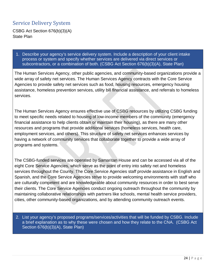# <span id="page-23-0"></span>Service Delivery System

CSBG Act Section 676(b)(3)(A) State Plan

1. Describe your agency's service delivery system. Include a description of your client intake process or system and specify whether services are delivered via direct services or subcontractors, or a combination of both. (CSBG Act Section 676(b)(3)(A), State Plan)

The Human Services Agency, other public agencies, and community-based organizations provide a wide array of safety net services. The Human Services Agency contracts with the Core Service Agencies to provide safety net services such as food, housing resources, emergency housing assistance, homeless prevention services, utility bill financial assistance, and referrals to homeless services.

The Human Services Agency ensures effective use of CSBG resources by utilizing CSBG funding to meet specific needs related to housing of low-income members of the community (emergency financial assistance to help clients obtain or maintain their housing), as there are many other resources and programs that provide additional services (homeless services, health care, employment services, and others). This structure of safety net services enhances services by having a network of community services that collaborate together to provide a wide array of programs and systems.

The CSBG-funded services are operated by Samaritan House and can be accessed via all of the eight Core Service Agencies, which serve as the point of entry into safety net and homeless services throughout the County. The Core Service Agencies staff provide assistance in English and Spanish, and the Core Service Agencies strive to provide welcoming environments with staff who are culturally competent and are knowledgeable about community resources in order to best serve their clients. The Core Service Agencies conduct ongoing outreach throughout the community by maintaining collaborative relationships with partners like schools, mental health service providers, cities, other community-based organizations, and by attending community outreach events.

2. List your agency's proposed programs/services/activities that will be funded by CSBG. Include a brief explanation as to why these were chosen and how they relate to the CNA. (CSBG Act Section 676(b)(3)(A), State Plan)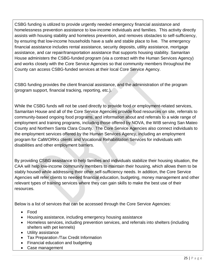CSBG funding is utilized to provide urgently needed emergency financial assistance and homelessness prevention assistance to low-income individuals and families. This activity directly assists with housing stability and homeless prevention, and removes obstacles to self-sufficiency, by ensuring that low-income households have a safe and stable place to live. The emergency financial assistance includes rental assistance, security deposits, utility assistance, mortgage assistance, and car repair/transportation assistance that supports housing stability. Samaritan House administers the CSBG-funded program (via a contract with the Human Services Agency) and works closely with the Core Service Agencies so that community members throughout the County can access CSBG-funded services at their local Core Service Agency.

CSBG funding provides the client financial assistance, and the administration of the program (program support, financial tracking, reporting, etc.).

While the CSBG funds will not be used directly to provide food or employment-related services, Samaritan House and all of the Core Service Agencies provide food resources on site, referrals to community-based ongoing food programs, and information about and referrals to a wide range of employment and training programs, including those offered by NOVA, the WIB serving San Mateo County and Northern Santa Clara County. The Core Service Agencies also connect individuals to the employment services offered by the Human Services Agency, including an employment program for CalWORKs clients and Vocational Rehabilitation Services for individuals with disabilities and other employment barriers.

By providing CSBG assistance to help families and individuals stabilize their housing situation, the CAA will help low-income community members to maintain their housing, which allows them to be stably housed while addressing their other self-sufficiency needs. In addition, the Core Service Agencies will refer clients to needed financial education, budgeting, money management and other relevant types of training services where they can gain skills to make the best use of their resources.

Below is a list of services that can be accessed through the Core Service Agencies:

- Food
- Housing assistance, including emergency housing assistance
- Homeless services, including prevention services, and referrals into shelters (including shelters with pet kennels)
- Utility assistance
- Tax Preparation /Tax Credit Information
- Financial education and budgeting
- Case management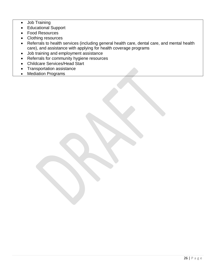- Job Training
- Educational Support
- Food Resources
- Clothing resources
- Referrals to health services (including general health care, dental care, and mental health care), and assistance with applying for health coverage programs
- Job training and employment assistance
- Referrals for community hygiene resources
- Childcare Services/Head Start
- Transportation assistance
- Mediation Programs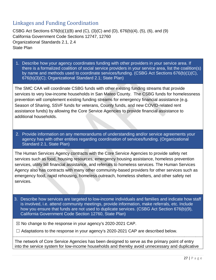# <span id="page-26-0"></span>Linkages and Funding Coordination

CSBG Act Sections 676(b)(1)(B) and (C), (3)(C) and (D), 676(b)(4), (5), (6), and (9) California Government Code Sections 12747, 12760 Organizational Standards 2.1, 2.4 State Plan

1. Describe how your agency coordinates funding with other providers in your service area. If there is a formalized coalition of social service providers in your service area, list the coalition(s) by name and methods used to coordinate services/funding. (CSBG Act Sections 676(b)(1)(C), 676(b)(3)(C); Organizational Standard 2.1; State Plan)

The SMC CAA will coordinate CSBG funds with other existing funding streams that provide services to very low-income households in San Mateo County. The CSBG funds for homelessness prevention will complement existing funding streams for emergency financial assistance (e.g. Season of Sharing, SSVF funds for veterans, County funds, and new COVID-related rent assistance funds) by allowing the Core Service Agencies to provide financial assistance to additional households.

2. Provide information on any memorandums of understanding and/or service agreements your agency has with other entities regarding coordination of services/funding. (Organizational Standard 2.1, State Plan)

The Human Services Agency contracts with the Core Service Agencies to provide safety net services such as food, housing resources, emergency housing assistance, homeless prevention services, utility bill financial assistance, and referrals to homeless services. The Human Services Agency also has contracts with many other community-based providers for other services such as emergency food, rapid rehousing, homeless outreach, homeless shelters, and other safety net services.

3. Describe how services are targeted to low-income individuals and families and indicate how staff is involved, i.e. attend community meetings, provide information, make referrals, etc. Include how you ensure that funds are not used to duplicate services. (CSBG Act Section 676(b)(9), California Government Code Section 12760, State Plan)

 $\boxtimes$  No change to the response in your agency's 2020-2021 CAP.

 $\Box$  Adaptations to the response in your agency's 2020-2021 CAP are described below.

The network of Core Service Agencies has been designed to serve as the primary point of entry into the service system for low-income households and thereby avoid unnecessary and duplicative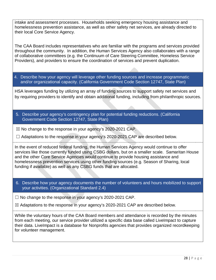intake and assessment processes. Households seeking emergency housing assistance and homelessness prevention assistance, as well as other safety net services, are already directed to their local Core Service Agency.

The CAA Board includes representatives who are familiar with the programs and services provided throughout the community. In addition, the Human Services Agency also collaborates with a range of collaborative committees (e.g. the Continuum of Care Steering Committee, Homeless Service Providers), and providers to ensure the coordination of services and prevent duplication.

4. Describe how your agency will leverage other funding sources and increase programmatic and/or organizational capacity. (California Government Code Section 12747, State Plan)

HSA leverages funding by utilizing an array of funding sources to support safety net services and by requiring providers to identify and obtain additional funding, including from philanthropic sources.

5. Describe your agency's contingency plan for potential funding reductions. (California Government Code Section 12747, State Plan)

 $\boxtimes$  No change to the response in your agency's 2020-2021 CAP.

 $\Box$  Adaptations to the response in your agency's 2020-2021 CAP are described below.

In the event of reduced federal funding, the Human Services Agency would continue to offer services like those currently funded using CSBG dollars, but on a smaller scale. Samaritan House and the other Core Service Agencies would continue to provide housing assistance and homelessness prevention services using other funding sources (e.g. Season of Sharing, local funding if available) as well as any CSBG funds that are allocated.

6. Describe how your agency documents the number of volunteers and hours mobilized to support your activities. (Organizational Standard 2.4)

 $\Box$  No change to the response in your agency's 2020-2021 CAP.

 $\boxtimes$  Adaptations to the response in your agency's 2020-2021 CAP are described below.

While the voluntary hours of the CAA Board members and attendance is recorded by the minutes from each meeting, our service provider utilized a specific data base called LiveImpact to capture their data. LiveImpact is a database for Nonprofits agencies that provides organized recordkeeping for volunteer management.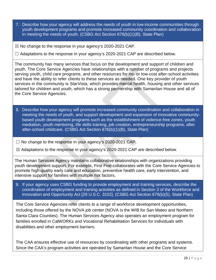- 7. Describe how your agency will address the needs of youth in low-income communities through youth development programs and promote increased community coordination and collaboration in meeting the needs of youth. (CSBG Act Section 676(b)(1)(B), State Plan)
- $\boxtimes$  No change to the response in your agency's 2020-2021 CAP.

 $\Box$  Adaptations to the response in your agency's 2020-2021 CAP are described below.

The community has many services that focus on the development and support of children and youth. The Core Service Agencies have relationships with a number of programs and projects serving youth, child care programs, and other resources for no- or low-cost after-school activities and have the ability to refer clients to these services as needed. One key provider of youth services in the community is StarVista, which provides mental health, housing and other services tailored for children and youth, which has a strong partnership with Samaritan House and all of the Core Service Agencies.

- 8. Describe how your agency will promote increased community coordination and collaboration in meeting the needs of youth, and support development and expansion of innovative communitybased youth development programs such as the establishment of violence‐free zones, youth mediation, youth mentoring, life skills training, job creation, entrepreneurship programs, after after-school childcare. (CSBG Act Section 676(b)(1)(B), State Plan)
- $\Box$  No change to the response in your agency's 2020-2021 CAP.

☒ Adaptations to the response in your agency's 2020-2021 CAP are described below.

The Human Services Agency maintains collaborative relationships with organizations providing youth development support. For example, First Five collaborates with the Core Service Agencies to promote high quality early care and education, preventive health care, early intervention, and intensive support for families with multiple risk factors.

9. If your agency uses CSBG funding to provide employment and training services, describe the coordination of employment and training activities as defined in Section 3 of the Workforce and Innovation and Opportunity Act [29 U.S.C. 3102]. (CSBG Act Section 676(b)(5), State Plan)

The Core Service Agencies refer clients to a range of workforce development opportunities, including those offered by the NOVA job center (NOVA is the WIB for San Mateo and Northern Santa Clara Counties). The Human Services Agency also operates an employment program for families enrolled in CalWORKs and Vocational Rehabilitation Services for individuals with disabilities and other employment barriers.

The CAA ensures effective use of resources by coordinating with other programs and systems. Since the CAA's program activities are operated by Samaritan House and the Core Service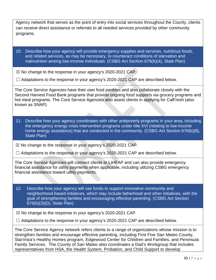| Agency network that serves as the point of entry into social services throughout the County, clients |
|------------------------------------------------------------------------------------------------------|
| can receive direct assistance or referrals to all needed services provided by other community        |
| programs.                                                                                            |

10. Describe how your agency will provide emergency supplies and services, nutritious foods, and related services, as may be necessary, to counteract conditions of starvation and malnutrition among low-income individuals. (CSBG Act Section 676(b)(4), State Plan)

 $\boxtimes$  No change to the response in your agency's 2020-2021 CAP.

 $\Box$  Adaptations to the response in your agency's 2020-2021 CAP are described below.

The Core Service Agencies have their own food pantries and also collaborate closely with the Second Harvest Food Bank programs that provide ongoing food supports via grocery programs and hot meal programs. The Core Service Agencies also assist clients in applying for CalFresh (also known as SNAP).

11. Describe how your agency coordinates with other antipoverty programs in your area, including the emergency energy crisis intervention programs under title XVI (relating to low-income home energy assistance) that are conducted in the community. (CSBG Act Section 676(b)(6), State Plan)

 $\boxtimes$  No change to the response in your agency's 2020-2021 CAP.

 $\Box$  Adaptations to the response in your agency's 2020-2021 CAP are described below.

The Core Service Agencies will connect clients to LIHEAP and can also provide emergency financial assistance for utility payments when applicable, including utilizing CSBG emergency financial assistance toward utility payments.

12. Describe how your agency will use funds to support innovative community and neighborhood-based initiatives, which may include fatherhood and other initiatives, with the goal of strengthening families and encouraging effective parenting. (CSBG Act Section 676(b)(3)(D), State Plan)

 $\boxtimes$  No change to the response in your agency's 2020-2021 CAP.

 $\Box$  Adaptations to the response in your agency's 2020-2021 CAP are described below.

The Core Service Agency network refers clients to a range of organizations whose mission is to strengthen families and encourage effective parenting, including First Five San Mateo County, StarVista's Healthy Homes program, Edgewood Center for Children and Families, and Peninsula Family Services. The County of San Mateo also coordinates a Dad's Workgroup that includes representatives from HSA, the Health System, Probation, and Child Support to develop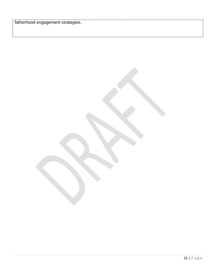fatherhood engagement strategies.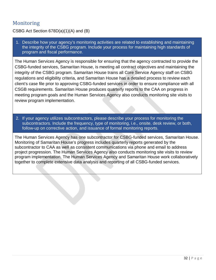# <span id="page-31-0"></span>**Monitoring**

# CSBG Act Section 678D(a)(1)(A) and (B)

1. Describe how your agency's monitoring activities are related to establishing and maintaining the integrity of the CSBG program. Include your process for maintaining high standards of program and fiscal performance.

The Human Services Agency is responsible for ensuring that the agency contracted to provide the CSBG-funded services, Samaritan House, is meeting all contract objectives and maintaining the integrity of the CSBG program. Samaritan House trains all Core Service Agency staff on CSBG regulations and eligibility criteria, and Samaritan House has a detailed process to review each client's case file prior to approving CSBG-funded services in order to ensure compliance with all CSGB requirements. Samaritan House produces quarterly reports to the CAA on progress in meeting program goals and the Human Services Agency also conducts monitoring site visits to review program implementation.

2. If your agency utilizes subcontractors, please describe your process for monitoring the subcontractors. Include the frequency, type of monitoring, i.e., onsite, desk review, or both, follow-up on corrective action, and issuance of formal monitoring reports.

The Human Services Agency has one subcontractor for CSBG-funded services, Samaritan House. Monitoring of Samaritan House's progress includes quarterly reports generated by the subcontractor to CAA as well as consistent communications via phone and email to address project progression. The Human Services Agency also conducts monitoring site visits to review program implementation. The Human Services Agency and Samaritan House work collaboratively together to complete extensive data analysis and reporting of all CSBG-funded services.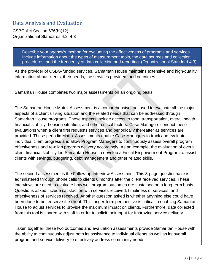# <span id="page-32-0"></span>Data Analysis and Evaluation

CSBG Act Section 676(b)(12) Organizational Standards 4.2, 4.3

1. Describe your agency's method for evaluating the effectiveness of programs and services. Include information about the types of measurement tools, the data sources and collection procedures, and the frequency of data collection and reporting. (Organizational Standard 4.3)

As the provider of CSBG-funded services, Samaritan House maintains extensive and high-quality information about clients, their needs, the services provided, and outcomes.

Samaritan House completes two major assessments on an ongoing basis.

The Samaritan House Matrix Assessment is a comprehensive tool used to evaluate all the major aspects of a client's living situation and the related needs that can be addressed through Samaritan House programs. These aspects include access to food, transportation, overall health, financial stability, housing situation, and other critical factors. Case Managers conduct these evaluations when a client first requests services and periodically thereafter as services are provided. These periodic Matrix Assessments enable Case Managers to track and evaluate individual client progress and allow Program Managers to continuously assess overall program effectiveness and re-align program delivery accordingly. As an example, the evaluation of overall client financial stability led Samaritan House to develop a Fiscal Empowerment Program to assist clients with savings, budgeting, debt management and other related skills.

The second assessment is the Follow-up Interview Assessment. This 3-page questionnaire is administered through phone calls to clients 6 months after the client received services. These interviews are used to evaluate how well program outcomes are sustained on a long-term basis. Questions asked include satisfaction with services received; timeliness of services; and effectiveness of services received. Another question asked is whether anything else could have been done to better serve the client. This longer-term perspective is critical in enabling Samaritan House to adjust services to provide the maximum impact on clients. Furthermore, data collected from this tool is shared with staff in order to solicit their input for improving service delivery.

Taken together, these two outcomes and evaluation assessments provide Samaritan House with the ability to continuously adjust both its assistance to individual clients as well as its overall program and service delivery to effectively address community needs.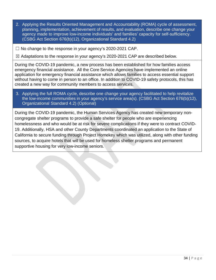2. Applying the Results Oriented Management and Accountability (ROMA) cycle of assessment, planning, implementation, achievement of results, and evaluation, describe one change your agency made to improve low-income individuals' and families' capacity for self-sufficiency. (CSBG Act Section 676(b)(12), Organizational Standard 4.2)

 $\Box$  No change to the response in your agency's 2020-2021 CAP.

☒ Adaptations to the response in your agency's 2020-2021 CAP are described below.

During the COVID-19 pandemic, a new process has been established for how families access emergency financial assistance. All the Core Service Agencies have implemented an online application for emergency financial assistance which allows families to access essential support without having to come in person to an office. In addition to COVID-19 safety protocols, this has created a new way for community members to access services.

3. Applying the full ROMA cycle, describe one change your agency facilitated to help revitalize the low-income communities in your agency's service area(s). (CSBG Act Section 676(b)(12), Organizational Standard 4.2) (Optional)

During the COVID-19 pandemic, the Human Services Agency has created new temporary noncongregate shelter programs to provide a safe shelter for people who are experiencing homelessness and who would be at risk for severe complications if they were to contract COVID-19. Additionally, HSA and other County Departments coordinated an application to the State of California to secure funding through Project Homekey which was utilized, along with other funding sources, to acquire hotels that will be used for homeless shelter programs and permanent supportive housing for very low-income seniors.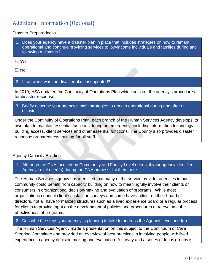# <span id="page-34-0"></span>Additional Information (Optional)

#### Disaster Preparedness

1. Does your agency have a disaster plan in place that includes strategies on how to remain operational and continue providing services to low-income individuals and families during and following a disaster?

☒ Yes

 $\Box$  No

#### 2. If so, when was the disaster plan last updated?

In 2019, HSA updated the Continuity of Operations Plan which sets out the agency's procedures for disaster response.

3. Briefly describe your agency's main strategies to remain operational during and after a disaster.

Under the Continuity of Operations Plan, each branch of the Human Services Agency develops its own plan to maintain essential functions during an emergency, including information technology, building access, client services and other essential functions. The County also provides disaster response preparedness training for all staff.

### Agency Capacity Building

1. Although the CNA focused on Community and Family Level needs, if your agency identified Agency Level need(s) during the CNA process, list them here.

The Human Services agency has identified that many of the service provider agencies in our community could benefit from capacity building on how to meaningfully involve their clients or consumers in organizational decision-making and evaluation of programs. While most organizations conduct client satisfaction surveys and some have a client on their board of directors, not all have formalized structures such as a lived experience board or a regular process for clients to provide input on the development of policies and procedures or to evaluate the effectiveness of programs.

2. Describe the steps your agency is planning to take to address the Agency Level need(s).

The Human Services Agency made a presentation on this subject to the Continuum of Care Steering Committee and provided an overview of best practices in involving people with lived experience in agency decision making and evaluation. A survey and a series of focus groups is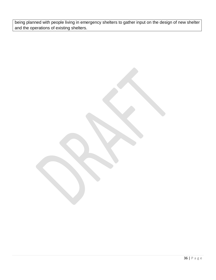being planned with people living in emergency shelters to gather input on the design of new shelter and the operations of existing shelters.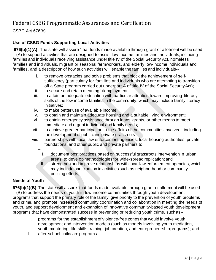# Federal CSBG Programmatic Assurances and Certification

CSBG Act 676(b)

# **Use of CSBG Funds Supporting Local Activities**

**676(b)(1)(A):** The state will assure "that funds made available through grant or allotment will be used – (A) to support activities that are designed to assist low-income families and individuals, including families and individuals receiving assistance under title IV of the Social Security Act, homeless families and individuals, migrant or seasonal farmworkers, and elderly low-income individuals and families, and a description of how such activities will enable the families and individuals--

- i. to remove obstacles and solve problems that block the achievement of selfsufficiency (particularly for families and individuals who are attempting to transition off a State program carried out underpart A of title IV of the Social SecurityAct);
- ii. to secure and retain meaningfulemployment;
- iii. to attain an adequate education with particular attention toward improving literacy skills of the low-income families in the community, which may include family literacy initiatives;
- iv. to make better use of available income;
- v. to obtain and maintain adequate housing and a suitable living environment;
- vi. to obtain emergency assistance through loans, grants, or other means to meet immediate and urgent individual and family needs;
- vii. to achieve greater participation in the affairs of the communities involved, including the development of public and private grassroots
- viii. partnerships with local law enforcement agencies, local housing authorities, private foundations, and other public and private partners to
	- I. document best practices based on successful grassroots intervention in urban areas, to develop methodologies for wide-spread replication; and
	- $II.$  strengthen and improve relationships with local law enforcement agencies, which may include participation in activities such as neighborhood or community policing efforts;

### **Needs of Youth**

**676(b)(1)(B)** The state will assure "that funds made available through grant or allotment will be used – (B) to address the needs of youth in low-income communities through youth development programs that support the primary role of the family, give priority to the prevention of youth problems and crime, and promote increased community coordination and collaboration in meeting the needs of youth, and support development and expansion of innovative community-based youth development programs that have demonstrated success in preventing or reducing youth crime, suchas--

- I. programs for the establishment of violence-free zones that would involve youth development and intervention models (such as models involving youth mediation, youth mentoring, life skills training, job creation, and entrepreneurshipprograms); and
- II. after-school childcare programs.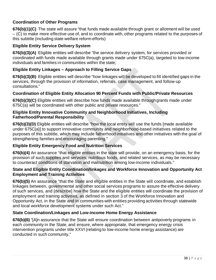# **Coordination of Other Programs**

**676(b)(1)(C)** The state will assure "that funds made available through grant or allotment will be used – (C) to make more effective use of, and to coordinate with, other programs related to the purposes of this subtitle (including state welfare reform efforts)

### **Eligible Entity Service Delivery System**

**676(b)(3)(A)** Eligible entities will describe "the service delivery system, for services provided or coordinated with funds made available through grants made under 675C(a), targeted to low-income individuals and families in communities within the state;

## **Eligible Entity Linkages – Approach to Filling Service Gaps**

**676(b)(3)(B)** Eligible entities will describe "how linkages will be developed to fill identified gaps in the services, through the provision of information, referrals, case management, and follow-up consultations."

### **Coordination of Eligible Entity Allocation 90 Percent Funds with Public/Private Resources**

**676(b)(3)(C)** Eligible entities will describe how funds made available throughgrants made under 675C(a) will be coordinated with other public and private resources."

#### **Eligible Entity Innovative Community and Neighborhood Initiatives, Including Fatherhood/Parental Responsibility**

**676(b)(3)(D)** Eligible entities will describe "how the local entity will use the funds [made available under 675C(a)] to support innovative community and neighborhood-based initiatives related to the purposes of this subtitle, which may include fatherhood initiatives and other initiatives with the goal of strengthening families and encouraging parenting."

### **Eligible Entity Emergency Food and Nutrition Services**

**676(b)(4)** An assurance "that eligible entities in the state will provide, on an emergency basis, for the provision of such supplies and services, nutritious foods, and related services, as may be necessary to counteract conditions of starvation and malnutrition among low-income individuals."

#### **State and Eligible Entity Coordination/linkages and Workforce Innovation and Opportunity Act Employment and Training Activities**

**676(b)(5)** An assurance "that the State and eligible entities in the State will coordinate, and establish linkages between, governmental and other social services programs to assure the effective delivery of such services, and [describe] how the State and the eligible entities will coordinate the provision of employment and training activities, as defined in section 3 of the Workforce Innovation and Opportunity Act, in the State and in communities with entities providing activities through statewide and local workforce development systems under such Act."

# **State Coordination/Linkages and Low-income Home Energy Assistance**

**676(b)(6)** "[A]n assurance that the State will ensure coordination between antipoverty programs in each community in the State, and ensure, where appropriate, that emergency energy crisis intervention programs under title XXVI (relating to low-income home energy assistance) are conducted in such community."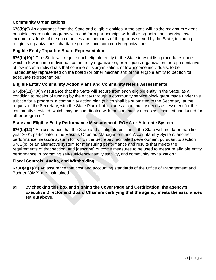## **Community Organizations**

**676(b)(9)** An assurance "that the State and eligible entities in the state will, to the maximum extent possible, coordinate programs with and form partnerships with other organizations serving lowincome residents of the communities and members of the groups served by the State, including religious organizations, charitable groups, and community organizations."

#### **Eligible Entity Tripartite Board Representation**

**676(b)(10)** "[T]he State will require each eligible entity in the State to establish procedures under which a low-income individual, community organization, or religious organization, or representative of low-income individuals that considers its organization, or low-income individuals, to be inadequately represented on the board (or other mechanism) of the eligible entity to petition for adequate representation."

#### **Eligible Entity Community Action Plans and Community Needs Assessments**

**676(b)(11)** "[A]n assurance that the State will secure from each eligible entity in the State, as a condition to receipt of funding by the entity through a community service block grant made under this subtitle for a program, a community action plan (which shall be submitted to the Secretary, at the request of the Secretary, with the State Plan) that includes a community needs assessment for the community serviced, which may be coordinated with the community needs assessment conducted for other programs."

#### **State and Eligible Entity Performance Measurement: ROMA or Alternate System**

**676(b)(12)** "[A]n assurance that the State and all eligible entities in the State will, not later than fiscal year 2001, participate in the Results Oriented Management and Accountability System, another performance measure system for which the Secretary facilitated development pursuant to section 678E(b), or an alternative system for measuring performance and results that meets the requirements of that section, and [describe] outcome measures to be used to measure eligible entity performance in promoting self-sufficiency, family stability, and community revitalization."

### **Fiscal Controls, Audits, and Withholding**

**678D(a)(1)(B)** An assurance that cost and accounting standards of the Office of Management and Budget (OMB) are maintained.

☒ **By checking this box and signing the Cover Page and Certification, the agency's Executive Director and Board Chair are certifying that the agency meets the assurances set outabove.**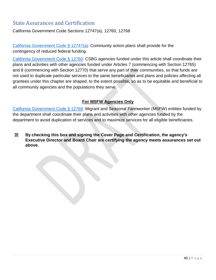# <span id="page-39-0"></span>State Assurances and Certification

California Government Code Sections 12747(a), 12760, 12768

[California Government Code § 12747\(](https://leginfo.legislature.ca.gov/faces/codes_displayText.xhtml?lawCode=GOV&division=3.&title=2.&part=2.&chapter=9.&article=5.)a): Community action plans shall provide for the contingency of reduced federal funding.

[California Government Code § 12760:](https://leginfo.legislature.ca.gov/faces/codes_displaySection.xhtml?sectionNum=12760.&lawCode=GOV) CSBG agencies funded under this article shall coordinate their plans and activities with other agencies funded under Articles 7 (commencing with Section 12765) and 8 (commencing with Section 12770) that serve any part of their communities, so that funds are not used to duplicate particular services to the same beneficiaries and plans and policies affecting all grantees under this chapter are shaped, to the extent possible, so as to be equitable and beneficial to all community agencies and the populations they serve.

# **For MSFW Agencies Only**

[California Government Code § 12768:](https://leginfo.legislature.ca.gov/faces/codes_displaySection.xhtml?sectionNum=12768.&lawCode=GOV) Migrant and Seasonal Farmworker (MSFW) entities funded by the department shall coordinate their plans and activities with other agencies funded by the department to avoid duplication of services and to maximize services for all eligible beneficiaries.

☒ **By checking this box and signing the Cover Page and Certification, the agency's Executive Director and Board Chair are certifying the agency meets assurances set out above.**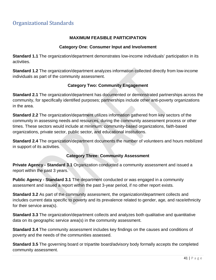### **MAXIMUM FEASIBLE PARTICIPATION**

#### **Category One: Consumer Input and Involvement**

<span id="page-40-0"></span>**Standard 1.1** The organization/department demonstrates low-income individuals' participation in its activities.

**Standard 1.2** The organization/department analyzes information collected directly from low-income individuals as part of the community assessment.

### **Category Two: Community Engagement**

**Standard 2.1** The organization/department has documented or demonstrated partnerships across the community, for specifically identified purposes; partnerships include other anti-poverty organizations in the area.

**Standard 2.2** The organization/department utilizes information gathered from key sectors of the community in assessing needs and resources, during the community assessment process or other times. These sectors would include at minimum: community-based organizations, faith-based organizations, private sector, public sector, and educational institutions.

**Standard 2.4** The organization/department documents the number of volunteers and hours mobilized in support of its activities.

# **Category Three: Community Assessment**

**Private Agency - Standard 3.1** Organization conducted a community assessment and issued a report within the past 3 years.

**Public Agency - Standard 3.1** The department conducted or was engaged in a community assessment and issued a report within the past 3-year period, if no other report exists.

**Standard 3.2** As part of the community assessment, the organization/department collects and includes current data specific to poverty and its prevalence related to gender, age, and race/ethnicity for their service area(s).

**Standard 3.3** The organization/department collects and analyzes both qualitative and quantitative data on its geographic service area(s) in the community assessment.

**Standard 3.4** The community assessment includes key findings on the causes and conditions of poverty and the needs of the communities assessed.

**Standard 3.5** The governing board or tripartite board/advisory body formally accepts the completed community assessment.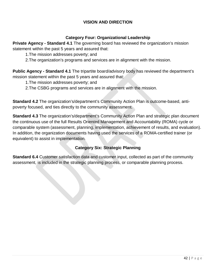### **VISION AND DIRECTION**

### **Category Four: Organizational Leadership**

**Private Agency - Standard 4.1** The governing board has reviewed the organization's mission statement within the past 5 years and assured that:

- 1.The mission addresses poverty; and
- 2.The organization's programs and services are in alignment with the mission.

**Public Agency - Standard 4.1** The tripartite board/advisory body has reviewed the department's mission statement within the past 5 years and assured that:

- 1.The mission addresses poverty; and
- 2.The CSBG programs and services are in alignment with the mission.

**Standard 4.2** The organization's/department's Community Action Plan is outcome-based, antipoverty focused, and ties directly to the community assessment.

**Standard 4.3** The organization's/department's Community Action Plan and strategic plan document the continuous use of the full Results Oriented Management and Accountability (ROMA) cycle or comparable system (assessment, planning, implementation, achievement of results, and evaluation). In addition, the organization documents having used the services of a ROMA-certified trainer (or equivalent) to assist in implementation.

### **Category Six: Strategic Planning**

**Standard 6.4** Customer satisfaction data and customer input, collected as part of the community assessment, is included in the strategic planning process, or comparable planning process.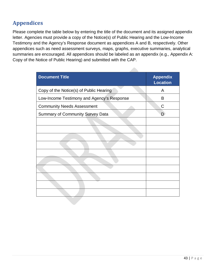# <span id="page-42-0"></span>**Appendices**

Please complete the table below by entering the title of the document and its assigned appendix letter. Agencies must provide a copy of the Notice(s) of Public Hearing and the Low-Income Testimony and the Agency's Response document as appendices A and B, respectively. Other appendices such as need assessment surveys, maps, graphs, executive summaries, analytical summaries are encouraged. All appendices should be labeled as an appendix (e.g., Appendix A: Copy of the Notice of Public Hearing) and submitted with the CAP.

| <b>Document Title</b>                      | <b>Appendix</b><br><b>Location</b> |
|--------------------------------------------|------------------------------------|
| Copy of the Notice(s) of Public Hearing    | A                                  |
| Low-Income Testimony and Agency's Response | B                                  |
| <b>Community Needs Assessment</b>          | C                                  |
| <b>Summary of Community Survey Data</b>    | D                                  |
|                                            |                                    |
|                                            |                                    |
|                                            |                                    |
|                                            |                                    |
|                                            |                                    |
|                                            |                                    |
|                                            |                                    |
|                                            |                                    |
|                                            |                                    |
|                                            |                                    |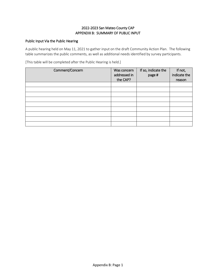#### 2022-2023 San Mateo County CAP APPENDIX B: SUMMARY OF PUBLIC INPUT

#### Public Input Via the Public Hearing

A public hearing held on May 11, 2021 to gather input on the draft Community Action Plan. The following table summarizes the public comments, as well as additional needs identified by survey participants.

[This table will be completed after the Public Hearing is held.]

| Comment/Concern | Was concern<br>addressed in<br>the CAP? | If so, indicate the<br>page # | If not,<br>indicate the<br>reason |
|-----------------|-----------------------------------------|-------------------------------|-----------------------------------|
|                 |                                         |                               |                                   |
|                 |                                         |                               |                                   |
|                 |                                         |                               |                                   |
|                 |                                         |                               |                                   |
|                 |                                         |                               |                                   |
|                 |                                         |                               |                                   |
|                 |                                         |                               |                                   |
|                 |                                         |                               |                                   |
|                 |                                         |                               |                                   |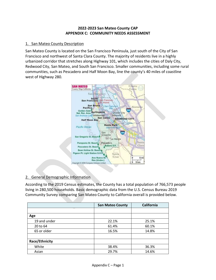#### **2022-2023 San Mateo County CAP APPENDIX C: COMMUNITY NEEDS ASSESSMENT**

#### 1. San Mateo County Description

San Mateo County is located on the San Francisco Peninsula, just south of the City of San Francisco and northwest of Santa Clara County. The majority of residents live in a highly urbanized corridor that stretches along Highway 101, which includes the cities of Daly City, Redwood City, San Mateo, and South San Francisco. Smaller communities, including some rural communities, such as Pescadero and Half Moon Bay, line the county's 40 miles of coastline west of Highway 280.



### 2. General Demographic Information

According to the 2019 Census estimates, the County has a total population of 766,573 people living in 280,500 households. Basic demographic data from the U.S. Census Bureau 2019 Community Survey comparing San Mateo County to California overall is provided below.

|                | <b>San Mateo County</b> | <b>California</b> |
|----------------|-------------------------|-------------------|
|                |                         |                   |
| Age            |                         |                   |
| 19 and under   | 22.1%                   | 25.1%             |
| 20 to 64       | 61.4%                   | 60.1%             |
| 65 or older    | 16.5%                   | 14.8%             |
|                |                         |                   |
| Race/Ethnicity |                         |                   |
| White          | 38.4%                   | 36.3%             |
| Asian          | 29.7%                   | 14.6%             |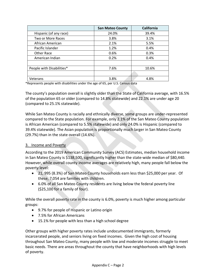|                           | <b>San Mateo County</b> | <b>California</b> |
|---------------------------|-------------------------|-------------------|
| Hispanic (of any race)    | 24.0%                   | 39.4%             |
| Two or More Races         | 3.8%                    | 3.1%              |
| African American          | 2.1%                    | 5.5%              |
| Pacific Islander          | 1.2%                    | 0.4%              |
| Other Race                | 0.6%                    | 0.3%              |
| American Indian           | 0.2%                    | 0.4%              |
|                           |                         |                   |
| People with Disabilities* | 7.6%                    | 10.6%             |
|                           |                         |                   |
| Veterans                  | 3.8%                    | 4.8%              |

\*Represents people with disabilities under the age of 65, per U.S. Census data

The county's population overall is slightly older than the State of California average, with 16.5% of the population 65 or older (compared to 14.8% statewide) and 22.1% are under age 20 (compared to 25.1% statewide).

While San Mateo County is racially and ethnically diverse, some groups are under-represented compared to the State population. For example, only 2.1% of the San Mateo County population is African American (compared to 5.5% statewide) and only 24.0% is Hispanic (compared to 39.4% statewide). The Asian population is proportionally much larger in San Mateo County (29.7%) than in the state overall (14.6%).

#### 3. Income and Poverty

According to the 2019 American Community Survey (ACS) Estimates, median household income in San Mateo County is \$138,500, significantly higher than the state-wide median of \$80,440. However, while overall county income averages are relatively high, many people fall below the poverty level:

- 21, 995 (8.3%) of San Mateo County households earn less than \$25,000 per year. Of these, 7,054 are families with children.
- 6.0% of all San Mateo County residents are living below the federal poverty line (\$25,100 for a family of four).

While the overall poverty rate in the county is 6.0%, poverty is much higher among particular groups:

- 9.7% for people of Hispanic or Latino origin
- 7.5% for African Americans
- 15.1% for people with less than a high school degree

Other groups with higher poverty rates include undocumented immigrants, formerly incarcerated people, and seniors living on fixed incomes. Given the high cost of housing throughout San Mateo County, many people with low and moderate incomes struggle to meet basic needs. There are areas throughout the county that have neighborhoods with high levels of poverty.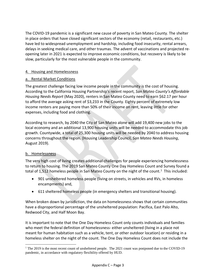The COVID-19 pandemic is a significant new cause of poverty in San Mateo County. The shelter in place orders that have closed significant sectors of the economy (retail, restaurants, etc.) have led to widespread unemployment and hardship, including food insecurity, rental arrears, delays in seeking medical care, and other traumas. The advent of vaccinations and projected reopening later in 2021 is expected to improve economic conditions, but recovery is likely to be slow, particularly for the most vulnerable people in the community.

#### 4. Housing and Homelessness

#### a. Rental Market Conditions

The greatest challenge facing low income people in the community is the cost of housing. According to the California Housing Partnership's recent report, *San Mateo County's Affordable Housing Needs Report* (May 2020), renters in San Mateo County need to earn \$62.17 per hour to afford the average asking rent of \$3,233 in the County. Eighty percent of extremely low income renters are paying more than 50% of their income on rent, leaving little for other expenses, including food and clothing.

According to research, by 2040 the City of San Mateo alone will add 19,400 new jobs to the local economy and an additional 13,900 housing units will be needed to accommodate this job growth. Countywide, a total of 25,300 housing units will be needed by 2040 to address housing concerns throughout the region. (Housing Leadership Council, *San Mateo Needs Housing*, August 2019).

#### b. Homelessness

The very high cost of living creates additional challenges for people experiencing homelessness to return to housing. The 2019 San Mateo County One Day Homeless Count and Survey found a total of [1](#page-46-0),512 homeless people in San Mateo County on the night of the count.<sup>1</sup> This included:

- 901 unsheltered homeless people (living on streets, in vehicles and RVs, in homeless encampments) and,
- 611 sheltered homeless people (in emergency shelters and transitional housing).

When broken down by jurisdiction, the data on homelessness shows that certain communities have a disproportional percentage of the unsheltered population: Pacifica, East Palo Alto, Redwood City, and Half Moon Bay.

It is important to note that the One Day Homeless Count only counts individuals and families who meet the federal definition of homelessness- either unsheltered (living in a place not meant for human habitation such as a vehicle, tent, or other outdoor location) or residing in a homeless shelter on the night of the count. The One Day Homeless Count does not include the

<span id="page-46-0"></span><sup>&</sup>lt;sup>1</sup> The 2019 is the most recent count of unsheltered people. The 2021 count was postponed due to the COVID-19 pandemic, in accordance with regulatory flexibility offered by HUD.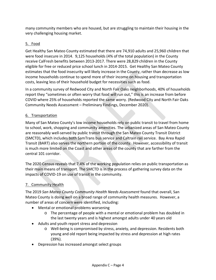many community members who are housed, but are struggling to maintain their housing in the very challenging housing market.

### 5. Food

Get Healthy San Mateo County estimated that there are 74,910 adults and 25,960 children that were food insecure in 2014. 9,125 households (4% of the total population) in the County receive CalFresh benefits between 2013-2017. There were 28,829 children in the County eligible for free or reduced price school lunch in 2014-2015. Get Healthy San Mateo County estimates that the food insecurity will likely increase in the County, rather than decrease as low income households continue to spend more of their income on housing and transportation costs, leaving less of their household budget for necessities such as food.

In a community survey of Redwood City and North Fair Oaks neighborhoods, 40% of households report they "sometimes or often worry that food will run out," this is an increase from before COVID where 25% of households reported the same worry. (Redwood City and North Fair Oaks Community Needs Assessment – Preliminary Findings, December 2020).

#### 6. Transportation

Many of San Mateo County's low income households rely on public transit to travel from home to school, work, shopping and community amenities. The urbanized areas of San Mateo County are reasonably well-served by public transit through the San Mateo County Transit District (SMCTD), which includes both SamTrans bus service and Caltrain rail service. Bay Area Rapid Transit (BART) also serves the northern portion of the county. However, accessibility of transit is much more limited on the Coast and other areas of the county that are farther from the central 101 corridor.

The 2020 Census reveals that 7.4% of the working population relies on public transportation as their main means of transport. The SMCTD is in the process of gathering survey data on the impacts of COVID-19 on use of transit in the community.

#### 7. Community Health

The 2019 *San Mateo County Community Health Needs Assessment* found that overall, San Mateo County is doing well on a broad range of community health measures. However, a number of areas of concern were identified, including:

- Mental or emotional problems worsening
	- o The percentage of people with a mental or emotional problem has doubled in the last twenty years and is highest amongst adults under 40 years old
- Adults and youth report stress and depression
	- o Well-being is compromised by stress, anxiety, and depression. Residents both young and old report being impacted by stress and depression at high rates (39%).
- Depression has increased amongst select groups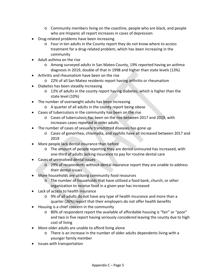- o Community members living on the coastline, people who are black, and people who are Hispanic all report increases in cases of depression
- Drug-related problems have been increasing
	- o Four in ten adults in the County report they do not know where to access treatment for a drug-related problem, which has been increasing in the community
- Adult asthma on the rise
	- o Among surveyed adults in San Mateo County, 19% reported having an asthma diagnosis in 2019, double of that in 1998 and higher than state levels (13%)
- Arthritis and rheumatism have been on the rise
	- o 22% of all San Mateo residents report having arthritis or rheumatism
- Diabetes has been steadily increasing
	- o 12% of adults in the county report having diabetes, which is higher than the state level (10%)
- The number of overweight adults has been increasing
	- o A quarter of all adults in the county report being obese
- Cases of tuberculosis in the community has been on the rise
	- o Cases of tuberculosis has been on the rise between 2017 and 2019, with increases cases reported in older adults
- The number of cases of sexually transmitted diseases has gone up
	- o Cases of gonorrhea, chlamydia, and syphilis have all increased between 2017 and 2019
- More people lack dental insurance than before
	- o The amount of people reporting they are dental uninsured has increased, with one-third of adults lacking insurance to pay for routine dental care
- Cases of unresolved dental issues
	- o 29% of respondents without dental insurance report they are unable to address their dental issues
- More households are utilizing community food resources
	- o The number of households that have utilized a food bank, church, or other organization to receive food in a given year has increased
- Lack of access to health insurance
	- o 9% of all adults do not have any type of health insurance and more than a quarter (26%) report that their employers do not offer health benefits
- Housing is a chief concern in the community
	- o 80% of respondent report the available of affordable housing is "fair" or "poor" and two in five report having seriously considered leaving the county due to high cost of living
- More older adults are unable to afford living alone
	- o There is an increase in the number of older adults dependents living with a younger family member
- Issues with transportation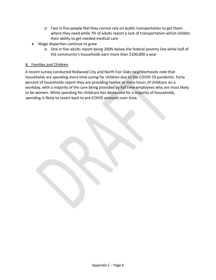- $\circ$  Two in five people feel they cannot rely on public transportation to get them where they need while 7% of adults report a lack of transportation which inhibits their ability to get needed medical care
- Wage disparities continue to grow
	- o One in five adults report being 200% below the federal poverty line while half of the community's households earn more than \$100,000 a year

#### 8. Families and Children

A recent survey conducted Redwood City and North Fair Oaks neighborhoods note that households are spending more time caring for children due to the COVID-19 pandemic. Forty percent of households report they are providing twelve or more hours of childcare on a workday, with a majority of the care being provided by full time employees who are most likely to be women. While spending for childcare has decreased for a majority of households, spending is likely to revert back to pre-COVID amounts over time.

Appendix C – Page 6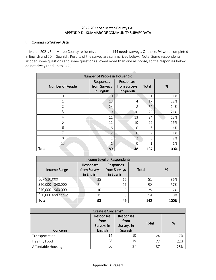#### 2022-2023 San Mateo County CAP APPENDIX D: SUMMARY OF COMMUNITY SURVEY DATA

#### I. Community Survey Data

In March 2021, San Mateo County residents completed 144 needs surveys. Of these, 94 were completed in English and 50 in Spanish. Results of the survey are summarized below. (Note: Some respondents skipped some questions and some questions allowed more than one response, so the responses below do not always add up to 144.)

|                  | Number of People in Household           |                                         |                |      |  |
|------------------|-----------------------------------------|-----------------------------------------|----------------|------|--|
| Number of People | Responses<br>from Surveys<br>in English | Responses<br>from Surveys<br>in Spanish | Total          | %    |  |
| $\Omega$         | $\overline{0}$                          | 1                                       | 1              | 1%   |  |
| 1                | 13                                      | 4                                       | 17             | 12%  |  |
| $\overline{2}$   | 24                                      | 8                                       | 32             | 24%  |  |
| 3                | 19                                      | 10                                      | 29             | 21%  |  |
| 4                | 11                                      | 13                                      | 24             | 18%  |  |
| 5                | 12                                      | 10                                      | 22             | 16%  |  |
| 6                | 6                                       | 0                                       | 6              | 4%   |  |
| $\overline{7}$   | $\overline{2}$                          | $\Omega$                                | $\overline{2}$ | 1%   |  |
| 8                | 1                                       | $\overline{2}$                          | 3              | 2%   |  |
| 13               | 1                                       | $\Omega$                                | $\mathbf{1}$   | 1%   |  |
| Total            | 89                                      | 48                                      | 137            | 100% |  |
|                  |                                         |                                         |                |      |  |

| Income Level of Respondents |                                                                                    |    |       |      |  |  |
|-----------------------------|------------------------------------------------------------------------------------|----|-------|------|--|--|
| Income Range                | Responses<br>Responses<br>from Surveys<br>from Surveys<br>in English<br>in Spanish |    | Total | %    |  |  |
| $$0 - $20,000$              | 35                                                                                 | 16 | 51    | 36%  |  |  |
| \$20,000 - \$40,000         | 31                                                                                 | 21 | 52    | 37%  |  |  |
| \$40,000 - \$60,000         | 16                                                                                 | 9  | 25    | 17%  |  |  |
| \$60,000 and above          | 11                                                                                 | 3  | 14    | 10%  |  |  |
| Total                       | 93                                                                                 | 49 | 142   | 100% |  |  |

| Greatest Concerns* |                                            |                                            |       |     |  |
|--------------------|--------------------------------------------|--------------------------------------------|-------|-----|--|
| Concerns           | Responses<br>from<br>Surveys in<br>English | Responses<br>from<br>Surveys in<br>Spanish | Total | %   |  |
| Transportation     | 14                                         | 10                                         | 24    | 7%  |  |
| Healthy Food       | 58                                         | 19                                         | 77    | 22% |  |
| Affordable Housing | 50                                         | 37                                         | 87    | 25% |  |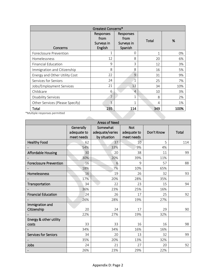| Greatest Concerns*              |                                            |                                            |       |      |
|---------------------------------|--------------------------------------------|--------------------------------------------|-------|------|
| Concerns                        | Responses<br>from<br>Surveys in<br>English | Responses<br>from<br>Surveys in<br>Spanish | Total | %    |
| Foreclosure Prevention          | 1                                          | 0                                          | 1     | 0%   |
| Homelessness                    | 12                                         | 8                                          | 20    | 6%   |
| <b>Financial Education</b>      | 9                                          | 3                                          | 12    | 3%   |
| Immigration and Citizenship     | 8                                          | 8                                          | 16    | 5%   |
| Energy and Other Utility Cost   | 22                                         | 9                                          | 31    | 9%   |
| Services for Seniors            | 24                                         | $\mathbf{1}$                               | 25    | 7%   |
| Jobs/Employment Services        | 21                                         | 13                                         | 34    | 10%  |
| Childcare                       | 6                                          | $\overline{4}$                             | 10    | 3%   |
| <b>Disability Services</b>      | 7                                          | $\mathbf{1}$                               | 8     | 2%   |
| Other Services (Please Specify) | 3                                          | 1                                          | 4     | 1%   |
| Total                           | 235                                        | 114                                        | 349   | 100% |
| Iultiple responses permitted    |                                            |                                            |       |      |

\*Multiple responses permitted

| <b>Areas of Need</b>            |                                        |                                             |                                         |            |       |  |
|---------------------------------|----------------------------------------|---------------------------------------------|-----------------------------------------|------------|-------|--|
|                                 | Generally<br>adequate to<br>meet needs | Somewhat<br>adequate/varies<br>by situation | <b>Not</b><br>adequate to<br>meet needs | Don't Know | Total |  |
| <b>Healthy Food</b>             | 62                                     | 37                                          | 10                                      | 5          | 114   |  |
|                                 | 54%                                    | 33%                                         | 9%                                      | 4%         |       |  |
| <b>Affordable Housing</b>       | 30                                     | 20                                          | 38                                      | 11         | 99    |  |
|                                 | 30%                                    | 20%                                         | 39%                                     | 11%        |       |  |
| <b>Foreclosure Prevention</b>   | 16                                     | 6                                           | 9                                       | 57         | 88    |  |
|                                 | 18%                                    | 7%                                          | 10%                                     | 65%        |       |  |
| Homelessness                    | 16                                     | 19                                          | 26                                      | 32         | 93    |  |
|                                 | 17%                                    | 20%                                         | 28%                                     | 35%        |       |  |
| Transportation                  | 34                                     | 22                                          | 23                                      | 15         | 94    |  |
|                                 | 36%                                    | 23%                                         | 25%                                     | 16%        |       |  |
| <b>Financial Education</b>      | 24                                     | 26                                          | 17                                      | 25         | 92    |  |
|                                 | 26%                                    | 28%                                         | 19%                                     | 27%        |       |  |
| Immigration and<br>Citizenship  | 20                                     | 24                                          | 17                                      | 29         | 90    |  |
|                                 | 22%                                    | 27%                                         | 19%                                     | 32%        |       |  |
| Energy & other utility<br>costs | 33                                     | 33                                          | 16                                      | 16         | 98    |  |
|                                 | 34%                                    | 34%                                         | 16%                                     | 16%        |       |  |
| <b>Services for Seniors</b>     | 34                                     | 20                                          | 13                                      | 32         | 99    |  |
|                                 | 35%                                    | 20%                                         | 13%                                     | 32%        |       |  |
| Jobs                            | 24                                     | 21                                          | 27                                      | 20         | 92    |  |
|                                 | 26%                                    | 23%                                         | 29%                                     | 22%        |       |  |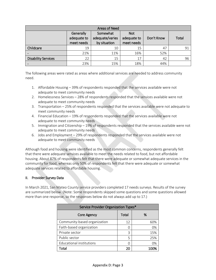| <b>Areas of Need</b>       |                                        |                                             |                                         |            |       |  |
|----------------------------|----------------------------------------|---------------------------------------------|-----------------------------------------|------------|-------|--|
|                            | Generally<br>adequate to<br>meet needs | Somewhat<br>adequate/varies<br>by situation | <b>Not</b><br>adequate to<br>meet needs | Don't Know | Total |  |
| Childcare                  | 19                                     | 10                                          | 15                                      | 47         | 91    |  |
|                            | 21%                                    | 11%                                         | 16%                                     | 52%        |       |  |
| <b>Disability Services</b> | 22                                     | 15                                          | 17                                      | 42         | 96    |  |
|                            | 23%                                    | 15%                                         | 18%                                     | 44%        |       |  |

The following areas were rated as areas where additional services are needed to address community need.

- 1. Affordable Housing 39% of respondents responded that the services available were not adequate to meet community needs
- 2. Homelessness Services 28% of respondents responded that the services available were not adequate to meet community needs
- 3. Transportation 25% of respondents responded that the services available were not adequate to meet community needs
- 4. Financial Education 19% of respondents responded that the services available were not adequate to meet community needs
- 5. Immigration and Citizenship 19% of respondents responded that the services available were not adequate to meet community needs
- 6. Jobs and Employment 29% of respondents responded that the services available were not adequate to meet community needs

Although food and housing were identified as the most common concerns, respondents generally felt that there were adequate services available to meet the needs related to food, but not affordable housing. About 87% of respondents felt that there were adequate or somewhat adequate services in the community for food, whereas only 50% of respondents felt that there were adequate or somewhat adequate services related to affordable housing.

#### II. Provider Survey Data

In March 2021, San Mateo County service providers completed 17 needs surveys. Results of the survey are summarized below. (Note: Some respondents skipped some questions and some questions allowed more than one response, so the responses below do not always add up to 17.)

| Service Provider Organization Types* |       |      |  |  |  |
|--------------------------------------|-------|------|--|--|--|
| Core Agency                          | Total | %    |  |  |  |
| Community-based organization         | 12    | 60%  |  |  |  |
| Faith-based organization             | Ω     | 0%   |  |  |  |
| Private sector                       | 3     | 15%  |  |  |  |
| Public sector                        | 5     | 25%  |  |  |  |
| Educational institutions             | ∩     | 0%   |  |  |  |
| `otal                                | 20    | 1በበ% |  |  |  |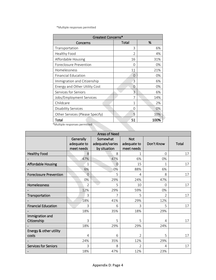\*Multiple responses permitted

| Greatest Concerns*              |       |      |  |  |
|---------------------------------|-------|------|--|--|
| Concerns                        | Total | %    |  |  |
| Transportation                  | 3     | 6%   |  |  |
| Healthy Food                    | C     | 4%   |  |  |
| Affordable Housing              | 16    | 31%  |  |  |
| Foreclosure Prevention          | Ω     | 0%   |  |  |
| Homelessness                    | 11    | 21%  |  |  |
| <b>Financial Education</b>      | 0     | 0%   |  |  |
| Immigration and Citizenship     | 3     | 6%   |  |  |
| Energy and Other Utility Cost   | O     | 0%   |  |  |
| Services for Seniors            | 3     | 6%   |  |  |
| Jobs/Employment Services        | 7     | 14%  |  |  |
| Childcare                       | 1     | 2%   |  |  |
| <b>Disability Services</b>      | O     | 0%   |  |  |
| Other Services (Please Specify) | 5     | 10%  |  |  |
| Total                           | 51    | 100% |  |  |

\*Multiple responses permitted

| <b>Areas of Need</b>          |                  |                 |                |            |       |  |  |  |
|-------------------------------|------------------|-----------------|----------------|------------|-------|--|--|--|
|                               | <b>Generally</b> | Somewhat        | <b>Not</b>     |            |       |  |  |  |
|                               | adequate to      | adequate/varies | adequate to    | Don't Know | Total |  |  |  |
|                               | meet needs       | by situation    | meet needs     |            |       |  |  |  |
| <b>Healthy Food</b>           | 8                | 8               | 1              | $\Omega$   | 17    |  |  |  |
|                               | 47%              | 47%             | 6%             | 0%         |       |  |  |  |
| Affordable Housing            | 1                | $\Omega$        | 15             | 1          | 17    |  |  |  |
|                               | 6%               | 0%              | 88%            | 6%         |       |  |  |  |
| <b>Foreclosure Prevention</b> | $\overline{0}$   | 5               | 4              | 8          | 17    |  |  |  |
|                               | 0%               | 29%             | 24%            | 47%        |       |  |  |  |
| Homelessness                  | $\overline{2}$   | 5               | 10             | 0          | 17    |  |  |  |
|                               | 12%              | 29%             | 59%            | 0%         |       |  |  |  |
| Transportation                | 3                | 7               | 5              | 2          | 17    |  |  |  |
|                               | 18%              | 41%             | 29%            | 12%        |       |  |  |  |
| <b>Financial Education</b>    | 3                | 6               | 3              | 5          | 17    |  |  |  |
|                               | 18%              | 35%             | 18%            | 29%        |       |  |  |  |
| Immigration and               |                  |                 |                |            |       |  |  |  |
| Citizenship                   | 3                | 5               | 5              | 4          | 17    |  |  |  |
|                               | 18%              | 29%             | 29%            | 24%        |       |  |  |  |
| Energy & other utility        |                  |                 |                |            |       |  |  |  |
| costs                         | 4                | 6               | $\overline{2}$ | 5          | 17    |  |  |  |
|                               | 24%              | 35%             | 12%            | 29%        |       |  |  |  |
| <b>Services for Seniors</b>   | 3                | 8               | $\mathfrak{D}$ | 4          | 17    |  |  |  |
|                               | 18%              | 47%             | 12%            | 23%        |       |  |  |  |